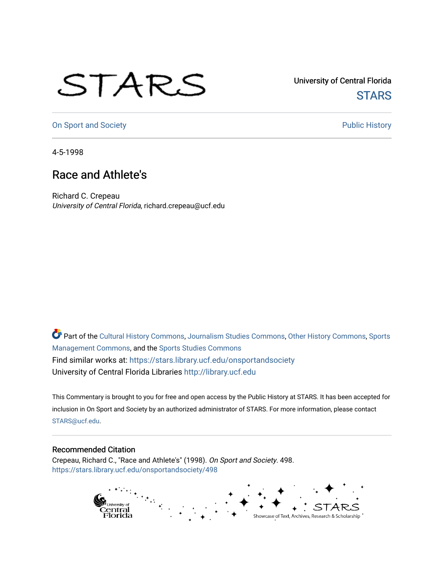## STARS

University of Central Florida **STARS** 

[On Sport and Society](https://stars.library.ucf.edu/onsportandsociety) **Public History** Public History

4-5-1998

## Race and Athlete's

Richard C. Crepeau University of Central Florida, richard.crepeau@ucf.edu

Part of the [Cultural History Commons](http://network.bepress.com/hgg/discipline/496?utm_source=stars.library.ucf.edu%2Fonsportandsociety%2F498&utm_medium=PDF&utm_campaign=PDFCoverPages), [Journalism Studies Commons,](http://network.bepress.com/hgg/discipline/333?utm_source=stars.library.ucf.edu%2Fonsportandsociety%2F498&utm_medium=PDF&utm_campaign=PDFCoverPages) [Other History Commons,](http://network.bepress.com/hgg/discipline/508?utm_source=stars.library.ucf.edu%2Fonsportandsociety%2F498&utm_medium=PDF&utm_campaign=PDFCoverPages) [Sports](http://network.bepress.com/hgg/discipline/1193?utm_source=stars.library.ucf.edu%2Fonsportandsociety%2F498&utm_medium=PDF&utm_campaign=PDFCoverPages) [Management Commons](http://network.bepress.com/hgg/discipline/1193?utm_source=stars.library.ucf.edu%2Fonsportandsociety%2F498&utm_medium=PDF&utm_campaign=PDFCoverPages), and the [Sports Studies Commons](http://network.bepress.com/hgg/discipline/1198?utm_source=stars.library.ucf.edu%2Fonsportandsociety%2F498&utm_medium=PDF&utm_campaign=PDFCoverPages) Find similar works at: <https://stars.library.ucf.edu/onsportandsociety> University of Central Florida Libraries [http://library.ucf.edu](http://library.ucf.edu/) 

This Commentary is brought to you for free and open access by the Public History at STARS. It has been accepted for inclusion in On Sport and Society by an authorized administrator of STARS. For more information, please contact [STARS@ucf.edu](mailto:STARS@ucf.edu).

## Recommended Citation

Crepeau, Richard C., "Race and Athlete's" (1998). On Sport and Society. 498. [https://stars.library.ucf.edu/onsportandsociety/498](https://stars.library.ucf.edu/onsportandsociety/498?utm_source=stars.library.ucf.edu%2Fonsportandsociety%2F498&utm_medium=PDF&utm_campaign=PDFCoverPages)

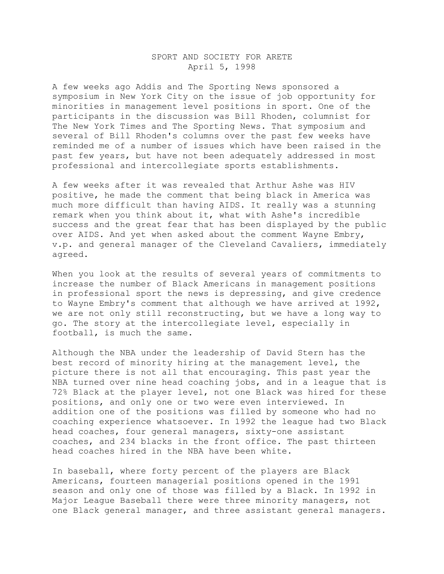## SPORT AND SOCIETY FOR ARETE April 5, 1998

A few weeks ago Addis and The Sporting News sponsored a symposium in New York City on the issue of job opportunity for minorities in management level positions in sport. One of the participants in the discussion was Bill Rhoden, columnist for The New York Times and The Sporting News. That symposium and several of Bill Rhoden's columns over the past few weeks have reminded me of a number of issues which have been raised in the past few years, but have not been adequately addressed in most professional and intercollegiate sports establishments.

A few weeks after it was revealed that Arthur Ashe was HIV positive, he made the comment that being black in America was much more difficult than having AIDS. It really was a stunning remark when you think about it, what with Ashe's incredible success and the great fear that has been displayed by the public over AIDS. And yet when asked about the comment Wayne Embry, v.p. and general manager of the Cleveland Cavaliers, immediately agreed.

When you look at the results of several years of commitments to increase the number of Black Americans in management positions in professional sport the news is depressing, and give credence to Wayne Embry's comment that although we have arrived at 1992, we are not only still reconstructing, but we have a long way to go. The story at the intercollegiate level, especially in football, is much the same.

Although the NBA under the leadership of David Stern has the best record of minority hiring at the management level, the picture there is not all that encouraging. This past year the NBA turned over nine head coaching jobs, and in a league that is 72% Black at the player level, not one Black was hired for these positions, and only one or two were even interviewed. In addition one of the positions was filled by someone who had no coaching experience whatsoever. In 1992 the league had two Black head coaches, four general managers, sixty-one assistant coaches, and 234 blacks in the front office. The past thirteen head coaches hired in the NBA have been white.

In baseball, where forty percent of the players are Black Americans, fourteen managerial positions opened in the 1991 season and only one of those was filled by a Black. In 1992 in Major League Baseball there were three minority managers, not one Black general manager, and three assistant general managers.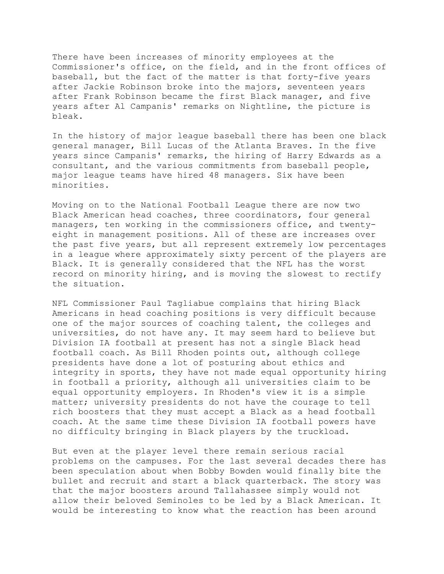There have been increases of minority employees at the Commissioner's office, on the field, and in the front offices of baseball, but the fact of the matter is that forty-five years after Jackie Robinson broke into the majors, seventeen years after Frank Robinson became the first Black manager, and five years after Al Campanis' remarks on Nightline, the picture is bleak.

In the history of major league baseball there has been one black general manager, Bill Lucas of the Atlanta Braves. In the five years since Campanis' remarks, the hiring of Harry Edwards as a consultant, and the various commitments from baseball people, major league teams have hired 48 managers. Six have been minorities.

Moving on to the National Football League there are now two Black American head coaches, three coordinators, four general managers, ten working in the commissioners office, and twentyeight in management positions. All of these are increases over the past five years, but all represent extremely low percentages in a league where approximately sixty percent of the players are Black. It is generally considered that the NFL has the worst record on minority hiring, and is moving the slowest to rectify the situation.

NFL Commissioner Paul Tagliabue complains that hiring Black Americans in head coaching positions is very difficult because one of the major sources of coaching talent, the colleges and universities, do not have any. It may seem hard to believe but Division IA football at present has not a single Black head football coach. As Bill Rhoden points out, although college presidents have done a lot of posturing about ethics and integrity in sports, they have not made equal opportunity hiring in football a priority, although all universities claim to be equal opportunity employers. In Rhoden's view it is a simple matter; university presidents do not have the courage to tell rich boosters that they must accept a Black as a head football coach. At the same time these Division IA football powers have no difficulty bringing in Black players by the truckload.

But even at the player level there remain serious racial problems on the campuses. For the last several decades there has been speculation about when Bobby Bowden would finally bite the bullet and recruit and start a black quarterback. The story was that the major boosters around Tallahassee simply would not allow their beloved Seminoles to be led by a Black American. It would be interesting to know what the reaction has been around